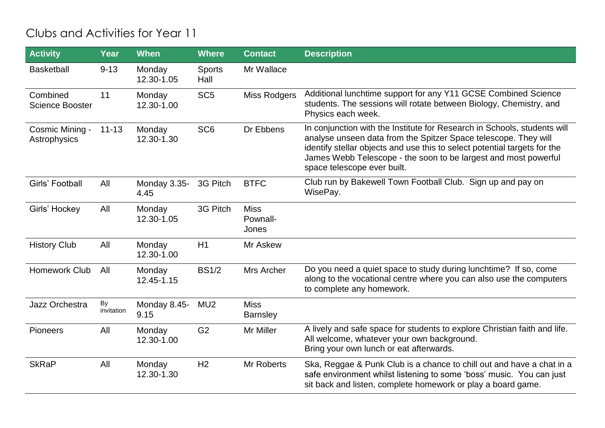## Clubs and Activities for Year 11

| <b>Activity</b>                    | Year             | <b>When</b>          | <b>Where</b>          | <b>Contact</b>                   | <b>Description</b>                                                                                                                                                                                                                                                                                                         |
|------------------------------------|------------------|----------------------|-----------------------|----------------------------------|----------------------------------------------------------------------------------------------------------------------------------------------------------------------------------------------------------------------------------------------------------------------------------------------------------------------------|
| <b>Basketball</b>                  | $9 - 13$         | Monday<br>12.30-1.05 | <b>Sports</b><br>Hall | Mr Wallace                       |                                                                                                                                                                                                                                                                                                                            |
| Combined<br><b>Science Booster</b> | 11               | Monday<br>12.30-1.00 | SC <sub>5</sub>       | <b>Miss Rodgers</b>              | Additional lunchtime support for any Y11 GCSE Combined Science<br>students. The sessions will rotate between Biology, Chemistry, and<br>Physics each week.                                                                                                                                                                 |
| Cosmic Mining -<br>Astrophysics    | $11 - 13$        | Monday<br>12.30-1.30 | SC <sub>6</sub>       | Dr Ebbens                        | In conjunction with the Institute for Research in Schools, students will<br>analyse unseen data from the Spitzer Space telescope. They will<br>identify stellar objects and use this to select potential targets for the<br>James Webb Telescope - the soon to be largest and most powerful<br>space telescope ever built. |
| Girls' Football                    | All              | Monday 3.35-<br>4.45 | 3G Pitch              | <b>BTFC</b>                      | Club run by Bakewell Town Football Club. Sign up and pay on<br>WisePay.                                                                                                                                                                                                                                                    |
| Girls' Hockey                      | All              | Monday<br>12.30-1.05 | 3G Pitch              | <b>Miss</b><br>Pownall-<br>Jones |                                                                                                                                                                                                                                                                                                                            |
| <b>History Club</b>                | All              | Monday<br>12.30-1.00 | H1                    | Mr Askew                         |                                                                                                                                                                                                                                                                                                                            |
| <b>Homework Club</b>               | All              | Monday<br>12.45-1.15 | <b>BS1/2</b>          | Mrs Archer                       | Do you need a quiet space to study during lunchtime? If so, come<br>along to the vocational centre where you can also use the computers<br>to complete any homework.                                                                                                                                                       |
| Jazz Orchestra                     | By<br>invitation | Monday 8.45-<br>9.15 | MU <sub>2</sub>       | <b>Miss</b><br><b>Barnsley</b>   |                                                                                                                                                                                                                                                                                                                            |
| Pioneers                           | All              | Monday<br>12.30-1.00 | G <sub>2</sub>        | Mr Miller                        | A lively and safe space for students to explore Christian faith and life.<br>All welcome, whatever your own background.<br>Bring your own lunch or eat afterwards.                                                                                                                                                         |
| <b>SkRaP</b>                       | All              | Monday<br>12.30-1.30 | H <sub>2</sub>        | Mr Roberts                       | Ska, Reggae & Punk Club is a chance to chill out and have a chat in a<br>safe environment whilst listening to some 'boss' music. You can just<br>sit back and listen, complete homework or play a board game.                                                                                                              |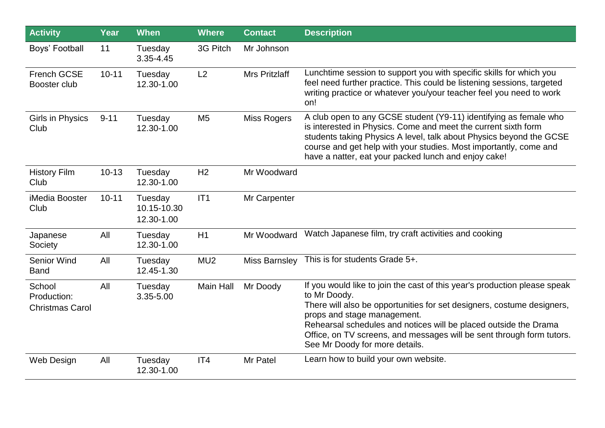| <b>Activity</b>                                 | Year      | <b>When</b>                          | <b>Where</b>    | <b>Contact</b>       | <b>Description</b>                                                                                                                                                                                                                                                                                                                                                                |
|-------------------------------------------------|-----------|--------------------------------------|-----------------|----------------------|-----------------------------------------------------------------------------------------------------------------------------------------------------------------------------------------------------------------------------------------------------------------------------------------------------------------------------------------------------------------------------------|
| Boys' Football                                  | 11        | Tuesday<br>3.35-4.45                 | 3G Pitch        | Mr Johnson           |                                                                                                                                                                                                                                                                                                                                                                                   |
| <b>French GCSE</b><br>Booster club              | $10 - 11$ | Tuesday<br>12.30-1.00                | L2              | <b>Mrs Pritzlaff</b> | Lunchtime session to support you with specific skills for which you<br>feel need further practice. This could be listening sessions, targeted<br>writing practice or whatever you/your teacher feel you need to work<br>on!                                                                                                                                                       |
| Girls in Physics<br>Club                        | $9 - 11$  | Tuesday<br>12.30-1.00                | M <sub>5</sub>  | <b>Miss Rogers</b>   | A club open to any GCSE student (Y9-11) identifying as female who<br>is interested in Physics. Come and meet the current sixth form<br>students taking Physics A level, talk about Physics beyond the GCSE<br>course and get help with your studies. Most importantly, come and<br>have a natter, eat your packed lunch and enjoy cake!                                           |
| <b>History Film</b><br>Club                     | $10 - 13$ | Tuesday<br>12.30-1.00                | H <sub>2</sub>  | Mr Woodward          |                                                                                                                                                                                                                                                                                                                                                                                   |
| iMedia Booster<br>Club                          | $10 - 11$ | Tuesday<br>10.15-10.30<br>12.30-1.00 | IT1             | Mr Carpenter         |                                                                                                                                                                                                                                                                                                                                                                                   |
| Japanese<br>Society                             | All       | Tuesday<br>12.30-1.00                | H1              | Mr Woodward          | Watch Japanese film, try craft activities and cooking                                                                                                                                                                                                                                                                                                                             |
| <b>Senior Wind</b><br><b>Band</b>               | All       | Tuesday<br>12.45-1.30                | MU <sub>2</sub> | Miss Barnsley        | This is for students Grade 5+.                                                                                                                                                                                                                                                                                                                                                    |
| School<br>Production:<br><b>Christmas Carol</b> | All       | Tuesday<br>3.35-5.00                 | Main Hall       | Mr Doody             | If you would like to join the cast of this year's production please speak<br>to Mr Doody.<br>There will also be opportunities for set designers, costume designers,<br>props and stage management.<br>Rehearsal schedules and notices will be placed outside the Drama<br>Office, on TV screens, and messages will be sent through form tutors.<br>See Mr Doody for more details. |
| Web Design                                      | All       | Tuesday<br>12.30-1.00                | IT4             | Mr Patel             | Learn how to build your own website.                                                                                                                                                                                                                                                                                                                                              |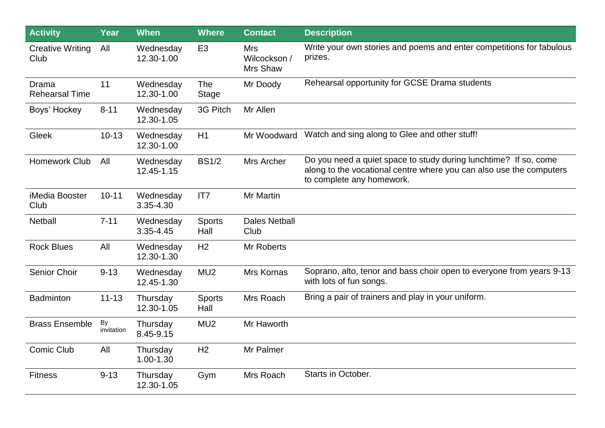| <b>Activity</b>                 | <b>Year</b>      | <b>When</b>             | <b>Where</b>               | <b>Contact</b>                         | <b>Description</b>                                                                                                                                                   |
|---------------------------------|------------------|-------------------------|----------------------------|----------------------------------------|----------------------------------------------------------------------------------------------------------------------------------------------------------------------|
| <b>Creative Writing</b><br>Club | All              | Wednesday<br>12.30-1.00 | E <sub>3</sub>             | <b>Mrs</b><br>Wilcockson /<br>Mrs Shaw | Write your own stories and poems and enter competitions for fabulous<br>prizes.                                                                                      |
| Drama<br><b>Rehearsal Time</b>  | 11               | Wednesday<br>12.30-1.00 | <b>The</b><br><b>Stage</b> | Mr Doody                               | Rehearsal opportunity for GCSE Drama students                                                                                                                        |
| Boys' Hockey                    | $8 - 11$         | Wednesday<br>12.30-1.05 | 3G Pitch                   | Mr Allen                               |                                                                                                                                                                      |
| Gleek                           | $10 - 13$        | Wednesday<br>12.30-1.00 | H1                         | Mr Woodward                            | Watch and sing along to Glee and other stuff!                                                                                                                        |
| Homework Club                   | All              | Wednesday<br>12.45-1.15 | <b>BS1/2</b>               | Mrs Archer                             | Do you need a quiet space to study during lunchtime? If so, come<br>along to the vocational centre where you can also use the computers<br>to complete any homework. |
| iMedia Booster<br>Club          | $10 - 11$        | Wednesday<br>3.35-4.30  | IT7                        | Mr Martin                              |                                                                                                                                                                      |
| <b>Netball</b>                  | $7 - 11$         | Wednesday<br>3.35-4.45  | <b>Sports</b><br>Hall      | <b>Dales Netball</b><br>Club           |                                                                                                                                                                      |
| <b>Rock Blues</b>               | All              | Wednesday<br>12.30-1.30 | H <sub>2</sub>             | Mr Roberts                             |                                                                                                                                                                      |
| Senior Choir                    | $9 - 13$         | Wednesday<br>12.45-1.30 | MU <sub>2</sub>            | Mrs Kornas                             | Soprano, alto, tenor and bass choir open to everyone from years 9-13<br>with lots of fun songs.                                                                      |
| <b>Badminton</b>                | $11 - 13$        | Thursday<br>12.30-1.05  | <b>Sports</b><br>Hall      | Mrs Roach                              | Bring a pair of trainers and play in your uniform.                                                                                                                   |
| <b>Brass Ensemble</b>           | By<br>invitation | Thursday<br>8.45-9.15   | MU <sub>2</sub>            | Mr Haworth                             |                                                                                                                                                                      |
| Comic Club                      | All              | Thursday<br>1.00-1.30   | H <sub>2</sub>             | Mr Palmer                              |                                                                                                                                                                      |
| <b>Fitness</b>                  | $9 - 13$         | Thursday<br>12.30-1.05  | Gym                        | Mrs Roach                              | Starts in October.                                                                                                                                                   |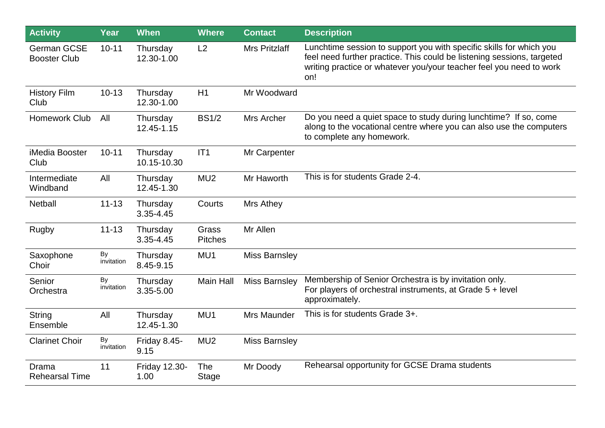| <b>Activity</b>                           | Year             | <b>When</b>                  | <b>Where</b>                   | <b>Contact</b>       | <b>Description</b>                                                                                                                                                                                                          |
|-------------------------------------------|------------------|------------------------------|--------------------------------|----------------------|-----------------------------------------------------------------------------------------------------------------------------------------------------------------------------------------------------------------------------|
| <b>German GCSE</b><br><b>Booster Club</b> | $10 - 11$        | Thursday<br>12.30-1.00       | L2                             | <b>Mrs Pritzlaff</b> | Lunchtime session to support you with specific skills for which you<br>feel need further practice. This could be listening sessions, targeted<br>writing practice or whatever you/your teacher feel you need to work<br>on! |
| <b>History Film</b><br>Club               | $10 - 13$        | Thursday<br>12.30-1.00       | H1                             | Mr Woodward          |                                                                                                                                                                                                                             |
| Homework Club                             | All              | Thursday<br>12.45-1.15       | <b>BS1/2</b>                   | Mrs Archer           | Do you need a quiet space to study during lunchtime? If so, come<br>along to the vocational centre where you can also use the computers<br>to complete any homework.                                                        |
| iMedia Booster<br>Club                    | $10 - 11$        | Thursday<br>10.15-10.30      | IT1                            | Mr Carpenter         |                                                                                                                                                                                                                             |
| Intermediate<br>Windband                  | All              | Thursday<br>12.45-1.30       | MU <sub>2</sub>                | Mr Haworth           | This is for students Grade 2-4.                                                                                                                                                                                             |
| <b>Netball</b>                            | $11 - 13$        | Thursday<br>3.35-4.45        | Courts                         | Mrs Athey            |                                                                                                                                                                                                                             |
| Rugby                                     | $11 - 13$        | Thursday<br>3.35-4.45        | <b>Grass</b><br><b>Pitches</b> | Mr Allen             |                                                                                                                                                                                                                             |
| Saxophone<br>Choir                        | By<br>invitation | Thursday<br>8.45-9.15        | MU1                            | <b>Miss Barnsley</b> |                                                                                                                                                                                                                             |
| Senior<br>Orchestra                       | By<br>invitation | Thursday<br>3.35-5.00        | Main Hall                      | <b>Miss Barnsley</b> | Membership of Senior Orchestra is by invitation only.<br>For players of orchestral instruments, at Grade 5 + level<br>approximately.                                                                                        |
| <b>String</b><br>Ensemble                 | All              | Thursday<br>12.45-1.30       | MU1                            | Mrs Maunder          | This is for students Grade 3+.                                                                                                                                                                                              |
| <b>Clarinet Choir</b>                     | By<br>invitation | Friday 8.45-<br>9.15         | MU <sub>2</sub>                | <b>Miss Barnsley</b> |                                                                                                                                                                                                                             |
| Drama<br><b>Rehearsal Time</b>            | 11               | <b>Friday 12.30-</b><br>1.00 | <b>The</b><br><b>Stage</b>     | Mr Doody             | Rehearsal opportunity for GCSE Drama students                                                                                                                                                                               |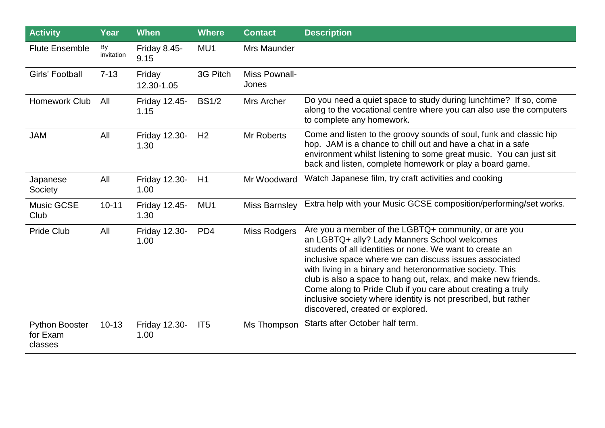| <b>Activity</b>                              | <b>Year</b>      | <b>When</b>                  | <b>Where</b>    | <b>Contact</b>         | <b>Description</b>                                                                                                                                                                                                                                                                                                                                                                                                                                                                                                             |
|----------------------------------------------|------------------|------------------------------|-----------------|------------------------|--------------------------------------------------------------------------------------------------------------------------------------------------------------------------------------------------------------------------------------------------------------------------------------------------------------------------------------------------------------------------------------------------------------------------------------------------------------------------------------------------------------------------------|
| <b>Flute Ensemble</b>                        | By<br>invitation | Friday 8.45-<br>9.15         | MU1             | Mrs Maunder            |                                                                                                                                                                                                                                                                                                                                                                                                                                                                                                                                |
| Girls' Football                              | $7 - 13$         | Friday<br>12.30-1.05         | 3G Pitch        | Miss Pownall-<br>Jones |                                                                                                                                                                                                                                                                                                                                                                                                                                                                                                                                |
| Homework Club                                | All              | Friday 12.45-<br>1.15        | <b>BS1/2</b>    | Mrs Archer             | Do you need a quiet space to study during lunchtime? If so, come<br>along to the vocational centre where you can also use the computers<br>to complete any homework.                                                                                                                                                                                                                                                                                                                                                           |
| <b>JAM</b>                                   | All              | <b>Friday 12.30-</b><br>1.30 | H <sub>2</sub>  | Mr Roberts             | Come and listen to the groovy sounds of soul, funk and classic hip<br>hop. JAM is a chance to chill out and have a chat in a safe<br>environment whilst listening to some great music. You can just sit<br>back and listen, complete homework or play a board game.                                                                                                                                                                                                                                                            |
| Japanese<br>Society                          | All              | Friday 12.30-<br>1.00        | H1              | Mr Woodward            | Watch Japanese film, try craft activities and cooking                                                                                                                                                                                                                                                                                                                                                                                                                                                                          |
| <b>Music GCSE</b><br>Club                    | $10 - 11$        | <b>Friday 12.45-</b><br>1.30 | MU1             | <b>Miss Barnsley</b>   | Extra help with your Music GCSE composition/performing/set works.                                                                                                                                                                                                                                                                                                                                                                                                                                                              |
| <b>Pride Club</b>                            | All              | <b>Friday 12.30-</b><br>1.00 | PD <sub>4</sub> | <b>Miss Rodgers</b>    | Are you a member of the LGBTQ+ community, or are you<br>an LGBTQ+ ally? Lady Manners School welcomes<br>students of all identities or none. We want to create an<br>inclusive space where we can discuss issues associated<br>with living in a binary and heteronormative society. This<br>club is also a space to hang out, relax, and make new friends.<br>Come along to Pride Club if you care about creating a truly<br>inclusive society where identity is not prescribed, but rather<br>discovered, created or explored. |
| <b>Python Booster</b><br>for Exam<br>classes | $10 - 13$        | <b>Friday 12.30-</b><br>1.00 | IT <sub>5</sub> | Ms Thompson            | Starts after October half term.                                                                                                                                                                                                                                                                                                                                                                                                                                                                                                |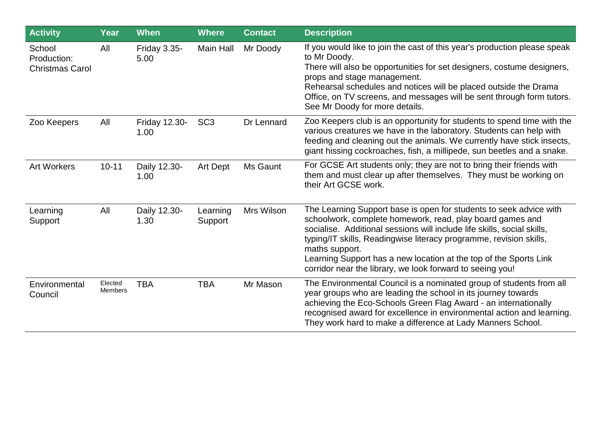| <b>Activity</b>                                 | Year                      | <b>When</b>                  | <b>Where</b>        | <b>Contact</b> | <b>Description</b>                                                                                                                                                                                                                                                                                                                                                                                                                   |
|-------------------------------------------------|---------------------------|------------------------------|---------------------|----------------|--------------------------------------------------------------------------------------------------------------------------------------------------------------------------------------------------------------------------------------------------------------------------------------------------------------------------------------------------------------------------------------------------------------------------------------|
| School<br>Production:<br><b>Christmas Carol</b> | All                       | Friday 3.35-<br>5.00         | Main Hall           | Mr Doody       | If you would like to join the cast of this year's production please speak<br>to Mr Doody.<br>There will also be opportunities for set designers, costume designers,<br>props and stage management.<br>Rehearsal schedules and notices will be placed outside the Drama<br>Office, on TV screens, and messages will be sent through form tutors.<br>See Mr Doody for more details.                                                    |
| Zoo Keepers                                     | All                       | <b>Friday 12.30-</b><br>1.00 | SC <sub>3</sub>     | Dr Lennard     | Zoo Keepers club is an opportunity for students to spend time with the<br>various creatures we have in the laboratory. Students can help with<br>feeding and cleaning out the animals. We currently have stick insects,<br>giant hissing cockroaches, fish, a millipede, sun beetles and a snake.                                                                                                                                    |
| <b>Art Workers</b>                              | $10 - 11$                 | Daily 12.30-<br>1.00         | Art Dept            | Ms Gaunt       | For GCSE Art students only; they are not to bring their friends with<br>them and must clear up after themselves. They must be working on<br>their Art GCSE work.                                                                                                                                                                                                                                                                     |
| Learning<br>Support                             | All                       | Daily 12.30-<br>1.30         | Learning<br>Support | Mrs Wilson     | The Learning Support base is open for students to seek advice with<br>schoolwork, complete homework, read, play board games and<br>socialise. Additional sessions will include life skills, social skills,<br>typing/IT skills, Readingwise literacy programme, revision skills,<br>maths support.<br>Learning Support has a new location at the top of the Sports Link<br>corridor near the library, we look forward to seeing you! |
| Environmental<br>Council                        | Elected<br><b>Members</b> | <b>TBA</b>                   | <b>TBA</b>          | Mr Mason       | The Environmental Council is a nominated group of students from all<br>year groups who are leading the school in its journey towards<br>achieving the Eco-Schools Green Flag Award - an internationally<br>recognised award for excellence in environmental action and learning.<br>They work hard to make a difference at Lady Manners School.                                                                                      |